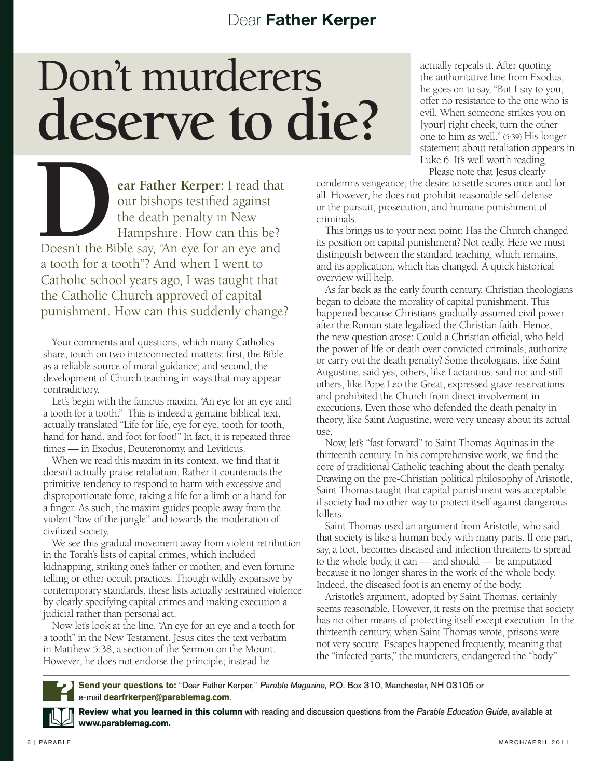## Don't murderers **deserve to die?**

**DEARE SERVE DEAREM**<br> **EXERCISE AND CONTROVER SERVER THE SERVE THANGE OF THE SERVER THANGE THE SERVER THANGE THE SERVER THANGE THE SERVER THANGE THE SERVER THANGE THE SERVER THANGE THE SERVER THANGE THE SERVER THANGE THE S** our bishops testified against the death penalty in New Hampshire. How can this be? Doesn't the Bible say, "An eye for an eye and a tooth for a tooth"? And when I went to Catholic school years ago, I was taught that the Catholic Church approved of capital punishment. How can this suddenly change?

Your comments and questions, which many Catholics share, touch on two interconnected matters: first, the Bible as a reliable source of moral guidance; and second, the development of Church teaching in ways that may appear contradictory.

Let's begin with the famous maxim, "An eye for an eye and a tooth for a tooth." This is indeed a genuine biblical text, actually translated "Life for life, eye for eye, tooth for tooth, hand for hand, and foot for foot!" In fact, it is repeated three times — in Exodus, Deuteronomy, and Leviticus.

When we read this maxim in its context, we find that it doesn't actually praise retaliation. Rather it counteracts the primitive tendency to respond to harm with excessive and disproportionate force, taking a life for a limb or a hand for a finger. As such, the maxim guides people away from the violent "law of the jungle" and towards the moderation of civilized society.

We see this gradual movement away from violent retribution in the Torah's lists of capital crimes, which included kidnapping, striking one's father or mother, and even fortune telling or other occult practices. Though wildly expansive by contemporary standards, these lists actually restrained violence by clearly specifying capital crimes and making execution a judicial rather than personal act.

Now let's look at the line, "An eye for an eye and a tooth for a tooth" in the New Testament. Jesus cites the text verbatim in Matthew 5:38, a section of the Sermon on the Mount. However, he does not endorse the principle; instead he

actually repeals it. After quoting the authoritative line from Exodus, he goes on to say, "But I say to you, offer no resistance to the one who is evil. When someone strikes you on [your] right cheek, turn the other one to him as well." (5:39) His longer statement about retaliation appears in Luke 6. It's well worth reading.

Please note that Jesus clearly

condemns vengeance, the desire to settle scores once and for all. However, he does not prohibit reasonable self-defense or the pursuit, prosecution, and humane punishment of criminals.

This brings us to your next point: Has the Church changed its position on capital punishment? Not really. Here we must distinguish between the standard teaching, which remains, and its application, which has changed. A quick historical overview will help.

As far back as the early fourth century, Christian theologians began to debate the morality of capital punishment. This happened because Christians gradually assumed civil power after the Roman state legalized the Christian faith. Hence, the new question arose: Could a Christian official, who held the power of life or death over convicted criminals, authorize or carry out the death penalty? Some theologians, like Saint Augustine, said yes; others, like Lactantius, said no; and still others, like Pope Leo the Great, expressed grave reservations and prohibited the Church from direct involvement in executions. Even those who defended the death penalty in theory, like Saint Augustine, were very uneasy about its actual use.

Now, let's "fast forward" to Saint Thomas Aquinas in the thirteenth century. In his comprehensive work, we find the core of traditional Catholic teaching about the death penalty. Drawing on the pre-Christian political philosophy of Aristotle, Saint Thomas taught that capital punishment was acceptable if society had no other way to protect itself against dangerous killers.

Saint Thomas used an argument from Aristotle, who said that society is like a human body with many parts. If one part, say, a foot, becomes diseased and infection threatens to spread to the whole body, it can — and should — be amputated because it no longer shares in the work of the whole body. Indeed, the diseased foot is an enemy of the body.

Aristotle's argument, adopted by Saint Thomas, certainly seems reasonable. However, it rests on the premise that society has no other means of protecting itself except execution. In the thirteenth century, when Saint Thomas wrote, prisons were not very secure. Escapes happened frequently, meaning that the "infected parts," the murderers, endangered the "body."



**Send your questions to:** "Dear Father Kerper," Parable Magazine, P.O. Box 310, Manchester, NH 03105 or e-mail **dearfrkerper@parablemag.com**.

**Review what you learned in this column** with reading and discussion questions from the Parable Education Guide, available at **www.parablemag.com.**